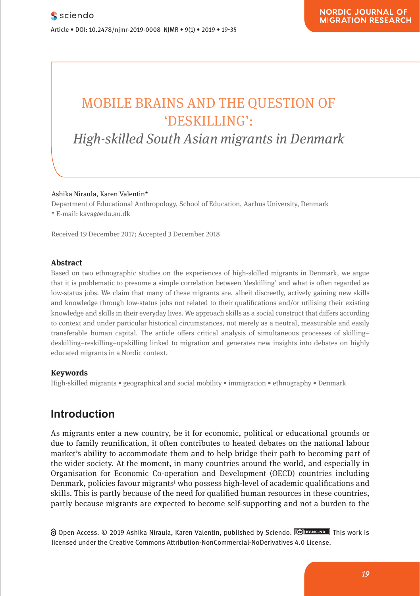# MOBILE BRAINS AND THE QUESTION OF **WHAT IS STATED ABOVE THE SERVICE ASSESSMENT OF ABOVE ABOVE**

*High-skilled South Asian migrants in Denmark* External<br>New South Asia men sommens am neueroenhandels am Denmann

**Pharmacological and Mental Self-transformation in Ethic** 

### Ashika Niraula, Karen Valentin\* **Comparison**

Department of Educational Anthropology, School of Education, Aarhus University, Denmark<br>. \* E-mail: kava@edu.au.dk

Received 19 December 2017; Accepted 3 December 2018

#### **Abstract**

Based on two ethnographic studies on the experiences of high-skilled migrants in Denmark, we argue that it is problematic to presume a simple correlation between 'deskilling' and what is often regarded as low-status jobs. We claim that many of these migrants are, albeit discreetly, actively gaining new skills lowand knowledge through low-status jobs not related to their qualifications and/or utilising their existing knowledge and skills in their everyday lives. We approach skills as a social construct that differs according knowledge and skills in their everyday lives. We approach skills as a social construct that differs according to context and under particular historical circumstances, not merely as a neutral, measurable and easily transferable human capital. The article offers critical analysis of simultaneous processes of skilling– deskilling–reskilling–upskilling linked to migration and generates new insights into debates on highly deskilling–reskilling–upskilling linked to migration and generates new insights into debates on highly educated migrants in a Nordic context.

#### **Keywords**

Journal xyz 2017; 1 (2): 122–135

High-skilled migrants • geographical and social mobility • immigration • ethnography • Denmark

# **Introduction**

As migrants enter a new country, be it for economic, political or educational grounds or due to family reunification, it often contributes to heated debates on the national labour market's ability to accommodate them and to help bridge their path to becoming part of the wider society. At the moment, in many countries around the world, and especially in Organisation for Economic Co-operation and Development (OECD) countries including Denmark, policies favour migrants<sup>1</sup> who possess high-level of academic qualifications and skills. This is partly because of the need for qualified human resources in these countries, partly because migrants are expected to become self-supporting and not a burden to the the presentation is current version. The presentation as part of the literary point of the literary point of the literary point of the literary point of the literary point of the literary point of the literary point of the

Open Access. © 2019 Ashika Niraula, Karen Valentin, published by Sciendo. **CO BY NG AND That Washin** licensed under the Creative Commons Attribution-NonCommercial-NoDerivatives 4.0 License. licensed under the Creative Commons Attribution-NonCommercial-NoDerivatives 4.0 License.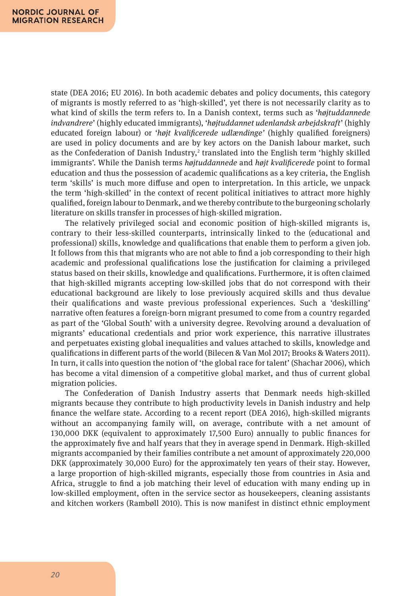state (DEA 2016; EU 2016). In both academic debates and policy documents, this category of migrants is mostly referred to as 'high-skilled', yet there is not necessarily clarity as to what kind of skills the term refers to. In a Danish context, terms such as '*højtuddannede indvandrere*' (highly educated immigrants), '*højtuddannet udenlandsk arbejdskraft*' (highly educated foreign labour) or '*højt kvalificerede udlændinge'* (highly qualified foreigners) are used in policy documents and are by key actors on the Danish labour market, such as the Confederation of Danish Industry,<sup>2</sup> translated into the English term 'highly skilled immigrants'. While the Danish terms *højtuddannede* and *højt kvalificerede* point to formal education and thus the possession of academic qualifications as a key criteria, the English term 'skills' is much more diffuse and open to interpretation. In this article, we unpack the term 'high-skilled' in the context of recent political initiatives to attract more highly qualified, foreign labour to Denmark, and we thereby contribute to the burgeoning scholarly literature on skills transfer in processes of high-skilled migration.

The relatively privileged social and economic position of high-skilled migrants is, contrary to their less-skilled counterparts, intrinsically linked to the (educational and professional) skills, knowledge and qualifications that enable them to perform a given job. It follows from this that migrants who are not able to find a job corresponding to their high academic and professional qualifications lose the justification for claiming a privileged status based on their skills, knowledge and qualifications. Furthermore, it is often claimed that high-skilled migrants accepting low-skilled jobs that do not correspond with their educational background are likely to lose previously acquired skills and thus devalue their qualifications and waste previous professional experiences. Such a 'deskilling' narrative often features a foreign-born migrant presumed to come from a country regarded as part of the 'Global South' with a university degree. Revolving around a devaluation of migrants' educational credentials and prior work experience, this narrative illustrates and perpetuates existing global inequalities and values attached to skills, knowledge and qualifications in different parts of the world (Bilecen & Van Mol 2017; Brooks & Waters 2011). In turn, it calls into question the notion of 'the global race for talent' (Shachar 2006), which has become a vital dimension of a competitive global market, and thus of current global migration policies.

The Confederation of Danish Industry asserts that Denmark needs high-skilled migrants because they contribute to high productivity levels in Danish industry and help finance the welfare state. According to a recent report (DEA 2016), high-skilled migrants without an accompanying family will, on average, contribute with a net amount of 130,000 DKK (equivalent to approximately 17,500 Euro) annually to public finances for the approximately five and half years that they in average spend in Denmark. High-skilled migrants accompanied by their families contribute a net amount of approximately 220,000 DKK (approximately 30,000 Euro) for the approximately ten years of their stay. However, a large proportion of high-skilled migrants, especially those from countries in Asia and Africa, struggle to find a job matching their level of education with many ending up in low-skilled employment, often in the service sector as housekeepers, cleaning assistants and kitchen workers (Rambøll 2010). This is now manifest in distinct ethnic employment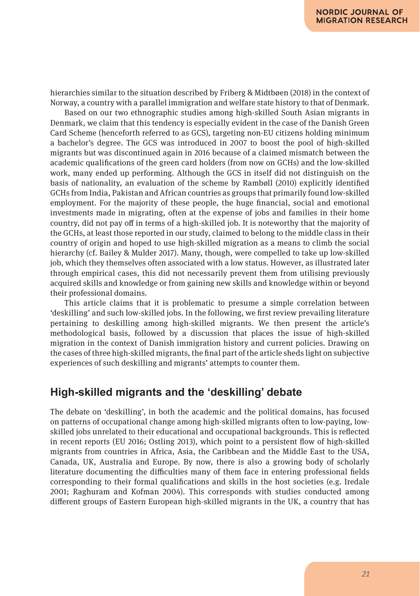hierarchies similar to the situation described by Friberg & Midtbøen (2018) in the context of Norway, a country with a parallel immigration and welfare state history to that of Denmark.

Based on our two ethnographic studies among high-skilled South Asian migrants in Denmark, we claim that this tendency is especially evident in the case of the Danish Green Card Scheme (henceforth referred to as GCS), targeting non-EU citizens holding minimum a bachelor's degree. The GCS was introduced in 2007 to boost the pool of high-skilled migrants but was discontinued again in 2016 because of a claimed mismatch between the academic qualifications of the green card holders (from now on GCHs) and the low-skilled work, many ended up performing. Although the GCS in itself did not distinguish on the basis of nationality, an evaluation of the scheme by Rambøll (2010) explicitly identified GCHs from India, Pakistan and African countries as groups that primarily found low-skilled employment. For the majority of these people, the huge financial, social and emotional investments made in migrating, often at the expense of jobs and families in their home country, did not pay off in terms of a high-skilled job. It is noteworthy that the majority of the GCHs, at least those reported in our study, claimed to belong to the middle class in their country of origin and hoped to use high-skilled migration as a means to climb the social hierarchy (cf. Bailey & Mulder 2017). Many, though, were compelled to take up low-skilled job, which they themselves often associated with a low status. However, as illustrated later through empirical cases, this did not necessarily prevent them from utilising previously acquired skills and knowledge or from gaining new skills and knowledge within or beyond their professional domains.

This article claims that it is problematic to presume a simple correlation between 'deskilling' and such low-skilled jobs. In the following, we first review prevailing literature pertaining to deskilling among high-skilled migrants. We then present the article's methodological basis, followed by a discussion that places the issue of high-skilled migration in the context of Danish immigration history and current policies. Drawing on the cases of three high-skilled migrants, the final part of the article sheds light on subjective experiences of such deskilling and migrants' attempts to counter them.

### **High-skilled migrants and the 'deskilling' debate**

The debate on 'deskilling', in both the academic and the political domains, has focused on patterns of occupational change among high-skilled migrants often to low-paying, lowskilled jobs unrelated to their educational and occupational backgrounds. This is reflected in recent reports (EU 2016; Ostling 2013), which point to a persistent flow of high-skilled migrants from countries in Africa, Asia, the Caribbean and the Middle East to the USA, Canada, UK, Australia and Europe. By now, there is also a growing body of scholarly literature documenting the difficulties many of them face in entering professional fields corresponding to their formal qualifications and skills in the host societies (e.g. Iredale 2001; Raghuram and Kofman 2004). This corresponds with studies conducted among different groups of Eastern European high-skilled migrants in the UK, a country that has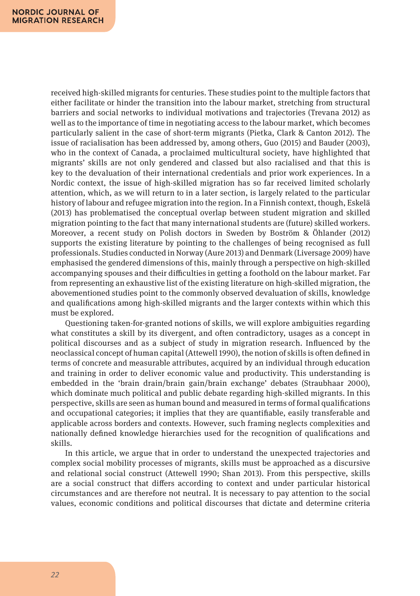received high-skilled migrants for centuries. These studies point to the multiple factors that either facilitate or hinder the transition into the labour market, stretching from structural barriers and social networks to individual motivations and trajectories (Trevana 2012) as well as to the importance of time in negotiating access to the labour market, which becomes particularly salient in the case of short-term migrants (Pietka, Clark & Canton 2012). The issue of racialisation has been addressed by, among others, Guo (2015) and Bauder (2003), who in the context of Canada, a proclaimed multicultural society, have highlighted that migrants' skills are not only gendered and classed but also racialised and that this is key to the devaluation of their international credentials and prior work experiences. In a Nordic context, the issue of high-skilled migration has so far received limited scholarly attention, which, as we will return to in a later section, is largely related to the particular history of labour and refugee migration into the region. In a Finnish context, though, Eskelä (2013) has problematised the conceptual overlap between student migration and skilled migration pointing to the fact that many international students are (future) skilled workers. Moreover, a recent study on Polish doctors in Sweden by Boström & Öhlander (2012) supports the existing literature by pointing to the challenges of being recognised as full professionals. Studies conducted in Norway (Aure 2013) and Denmark (Liversage 2009) have emphasised the gendered dimensions of this, mainly through a perspective on high-skilled accompanying spouses and their difficulties in getting a foothold on the labour market. Far from representing an exhaustive list of the existing literature on high-skilled migration, the abovementioned studies point to the commonly observed devaluation of skills, knowledge and qualifications among high-skilled migrants and the larger contexts within which this must be explored.

Questioning taken-for-granted notions of skills, we will explore ambiguities regarding what constitutes a skill by its divergent, and often contradictory, usages as a concept in political discourses and as a subject of study in migration research. Influenced by the neoclassical concept of human capital (Attewell 1990), the notion of skills is often defined in terms of concrete and measurable attributes, acquired by an individual through education and training in order to deliver economic value and productivity. This understanding is embedded in the 'brain drain/brain gain/brain exchange' debates (Straubhaar 2000), which dominate much political and public debate regarding high-skilled migrants. In this perspective, skills are seen as human bound and measured in terms of formal qualifications and occupational categories; it implies that they are quantifiable, easily transferable and applicable across borders and contexts. However, such framing neglects complexities and nationally defined knowledge hierarchies used for the recognition of qualifications and skills.

In this article, we argue that in order to understand the unexpected trajectories and complex social mobility processes of migrants, skills must be approached as a discursive and relational social construct (Attewell 1990; Shan 2013). From this perspective, skills are a social construct that differs according to context and under particular historical circumstances and are therefore not neutral. It is necessary to pay attention to the social values, economic conditions and political discourses that dictate and determine criteria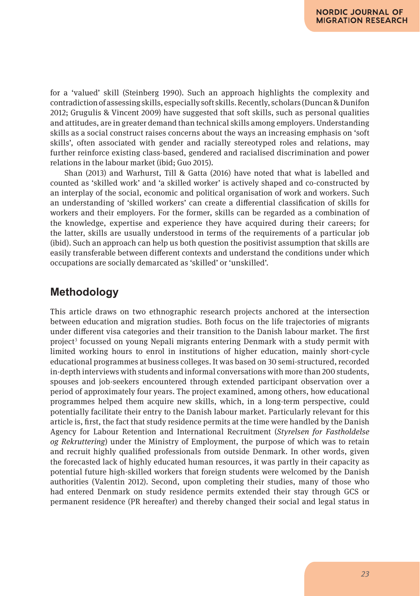for a 'valued' skill (Steinberg 1990). Such an approach highlights the complexity and contradiction of assessing skills, especially soft skills. Recently, scholars (Duncan & Dunifon 2012; Grugulis & Vincent 2009) have suggested that soft skills, such as personal qualities and attitudes, are in greater demand than technical skills among employers. Understanding skills as a social construct raises concerns about the ways an increasing emphasis on 'soft skills', often associated with gender and racially stereotyped roles and relations, may further reinforce existing class-based, gendered and racialised discrimination and power relations in the labour market (ibid; Guo 2015).

Shan (2013) and Warhurst, Till & Gatta (2016) have noted that what is labelled and counted as 'skilled work' and 'a skilled worker' is actively shaped and co-constructed by an interplay of the social, economic and political organisation of work and workers. Such an understanding of 'skilled workers' can create a differential classification of skills for workers and their employers. For the former, skills can be regarded as a combination of the knowledge, expertise and experience they have acquired during their careers; for the latter, skills are usually understood in terms of the requirements of a particular job (ibid). Such an approach can help us both question the positivist assumption that skills are easily transferable between different contexts and understand the conditions under which occupations are socially demarcated as 'skilled' or 'unskilled'.

# **Methodology**

This article draws on two ethnographic research projects anchored at the intersection between education and migration studies. Both focus on the life trajectories of migrants under different visa categories and their transition to the Danish labour market. The first project<sup>3</sup> focussed on young Nepali migrants entering Denmark with a study permit with limited working hours to enrol in institutions of higher education, mainly short-cycle educational programmes at business colleges. It was based on 30 semi-structured, recorded in-depth interviews with students and informal conversations with more than 200 students, spouses and job-seekers encountered through extended participant observation over a period of approximately four years. The project examined, among others, how educational programmes helped them acquire new skills, which, in a long-term perspective, could potentially facilitate their entry to the Danish labour market. Particularly relevant for this article is, first, the fact that study residence permits at the time were handled by the Danish Agency for Labour Retention and International Recruitment (*Styrelsen for Fastholdelse og Rekruttering*) under the Ministry of Employment, the purpose of which was to retain and recruit highly qualified professionals from outside Denmark. In other words, given the forecasted lack of highly educated human resources, it was partly in their capacity as potential future high-skilled workers that foreign students were welcomed by the Danish authorities (Valentin 2012). Second, upon completing their studies, many of those who had entered Denmark on study residence permits extended their stay through GCS or permanent residence (PR hereafter) and thereby changed their social and legal status in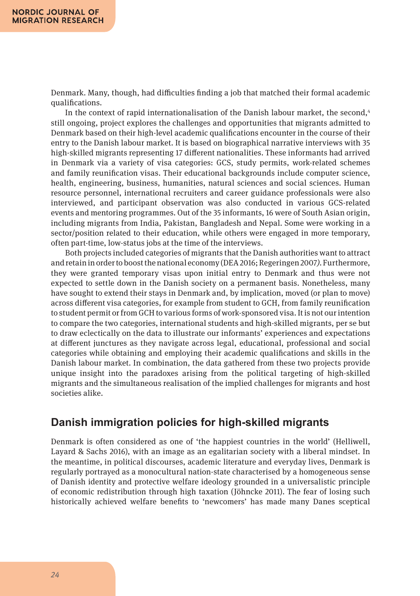Denmark. Many, though, had difficulties finding a job that matched their formal academic qualifications.

In the context of rapid internationalisation of the Danish labour market, the second. $4$ still ongoing, project explores the challenges and opportunities that migrants admitted to Denmark based on their high-level academic qualifications encounter in the course of their entry to the Danish labour market. It is based on biographical narrative interviews with 35 high-skilled migrants representing 17 different nationalities. These informants had arrived in Denmark via a variety of visa categories: GCS, study permits, work-related schemes and family reunification visas. Their educational backgrounds include computer science, health, engineering, business, humanities, natural sciences and social sciences. Human resource personnel, international recruiters and career guidance professionals were also interviewed, and participant observation was also conducted in various GCS-related events and mentoring programmes. Out of the 35 informants, 16 were of South Asian origin, including migrants from India, Pakistan, Bangladesh and Nepal. Some were working in a sector/position related to their education, while others were engaged in more temporary, often part-time, low-status jobs at the time of the interviews.

Both projects included categories of migrants that the Danish authorities want to attract and retain in order to boost the national economy (DEA 2016; Regeringen 2007*)*. Furthermore, they were granted temporary visas upon initial entry to Denmark and thus were not expected to settle down in the Danish society on a permanent basis. Nonetheless, many have sought to extend their stays in Denmark and, by implication, moved (or plan to move) across different visa categories, for example from student to GCH, from family reunification to student permit or from GCH to various forms of work-sponsored visa. It is not our intention to compare the two categories, international students and high-skilled migrants, per se but to draw eclectically on the data to illustrate our informants' experiences and expectations at different junctures as they navigate across legal, educational, professional and social categories while obtaining and employing their academic qualifications and skills in the Danish labour market. In combination, the data gathered from these two projects provide unique insight into the paradoxes arising from the political targeting of high-skilled migrants and the simultaneous realisation of the implied challenges for migrants and host societies alike.

# **Danish immigration policies for high-skilled migrants**

Denmark is often considered as one of 'the happiest countries in the world' (Helliwell, Layard & Sachs 2016), with an image as an egalitarian society with a liberal mindset. In the meantime, in political discourses, academic literature and everyday lives, Denmark is regularly portrayed as a monocultural nation-state characterised by a homogeneous sense of Danish identity and protective welfare ideology grounded in a universalistic principle of economic redistribution through high taxation (Jöhncke 2011). The fear of losing such historically achieved welfare benefits to 'newcomers' has made many Danes sceptical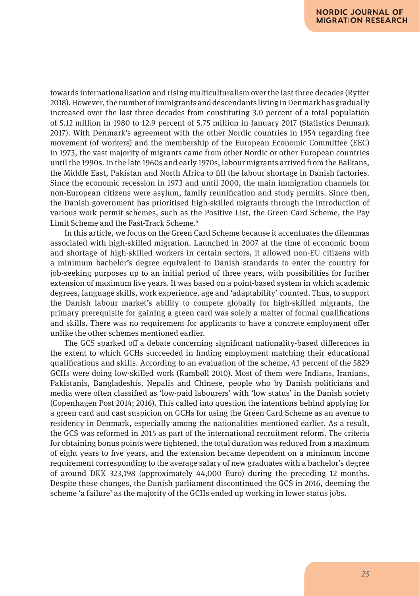towards internationalisation and rising multiculturalism over the last three decades (Rytter 2018). However, the number of immigrants and descendants living in Denmark has gradually increased over the last three decades from constituting 3.0 percent of a total population of 5.12 million in 1980 to 12.9 percent of 5.75 million in January 2017 (Statistics Denmark 2017). With Denmark's agreement with the other Nordic countries in 1954 regarding free movement (of workers) and the membership of the European Economic Committee (EEC) in 1973, the vast majority of migrants came from other Nordic or other European countries until the 1990s. In the late 1960s and early 1970s, labour migrants arrived from the Balkans, the Middle East, Pakistan and North Africa to fill the labour shortage in Danish factories. Since the economic recession in 1973 and until 2000, the main immigration channels for non-European citizens were asylum, family reunification and study permits. Since then, the Danish government has prioritised high-skilled migrants through the introduction of various work permit schemes, such as the Positive List, the Green Card Scheme, the Pay Limit Scheme and the Fast-Track Scheme.<sup>5</sup>

In this article, we focus on the Green Card Scheme because it accentuates the dilemmas associated with high-skilled migration. Launched in 2007 at the time of economic boom and shortage of high-skilled workers in certain sectors, it allowed non-EU citizens with a minimum bachelor's degree equivalent to Danish standards to enter the country for job-seeking purposes up to an initial period of three years, with possibilities for further extension of maximum five years. It was based on a point-based system in which academic degrees, language skills, work experience, age and 'adaptability' counted. Thus, to support the Danish labour market's ability to compete globally for high-skilled migrants, the primary prerequisite for gaining a green card was solely a matter of formal qualifications and skills. There was no requirement for applicants to have a concrete employment offer unlike the other schemes mentioned earlier.

The GCS sparked off a debate concerning significant nationality-based differences in the extent to which GCHs succeeded in finding employment matching their educational qualifications and skills. According to an evaluation of the scheme, 43 percent of the 5829 GCHs were doing low-skilled work (Rambøll 2010). Most of them were Indians, Iranians, Pakistanis, Bangladeshis, Nepalis and Chinese, people who by Danish politicians and media were often classified as 'low-paid labourers' with 'low status' in the Danish society (Copenhagen Post 2014; 2016). This called into question the intentions behind applying for a green card and cast suspicion on GCHs for using the Green Card Scheme as an avenue to residency in Denmark, especially among the nationalities mentioned earlier. As a result, the GCS was reformed in 2015 as part of the international recruitment reform. The criteria for obtaining bonus points were tightened, the total duration was reduced from a maximum of eight years to five years, and the extension became dependent on a minimum income requirement corresponding to the average salary of new graduates with a bachelor's degree of around DKK 323,198 (approximately 44,000 Euro) during the preceding 12 months. Despite these changes, the Danish parliament discontinued the GCS in 2016, deeming the scheme 'a failure' as the majority of the GCHs ended up working in lower status jobs.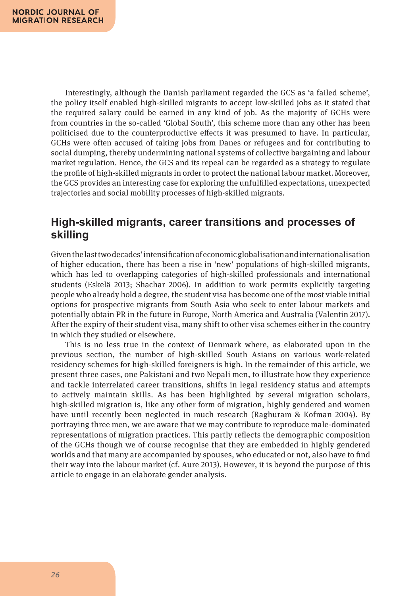Interestingly, although the Danish parliament regarded the GCS as 'a failed scheme', the policy itself enabled high-skilled migrants to accept low-skilled jobs as it stated that the required salary could be earned in any kind of job. As the majority of GCHs were from countries in the so-called 'Global South', this scheme more than any other has been politicised due to the counterproductive effects it was presumed to have. In particular, GCHs were often accused of taking jobs from Danes or refugees and for contributing to social dumping, thereby undermining national systems of collective bargaining and labour market regulation. Hence, the GCS and its repeal can be regarded as a strategy to regulate the profile of high-skilled migrants in order to protect the national labour market. Moreover, the GCS provides an interesting case for exploring the unfulfilled expectations, unexpected trajectories and social mobility processes of high-skilled migrants.

# **High-skilled migrants, career transitions and processes of skilling**

Given the last two decades' intensification of economic globalisation and internationalisation of higher education, there has been a rise in 'new' populations of high-skilled migrants, which has led to overlapping categories of high-skilled professionals and international students (Eskelä 2013; Shachar 2006). In addition to work permits explicitly targeting people who already hold a degree, the student visa has become one of the most viable initial options for prospective migrants from South Asia who seek to enter labour markets and potentially obtain PR in the future in Europe, North America and Australia (Valentin 2017). After the expiry of their student visa, many shift to other visa schemes either in the country in which they studied or elsewhere.

This is no less true in the context of Denmark where, as elaborated upon in the previous section, the number of high-skilled South Asians on various work-related residency schemes for high-skilled foreigners is high. In the remainder of this article, we present three cases, one Pakistani and two Nepali men, to illustrate how they experience and tackle interrelated career transitions, shifts in legal residency status and attempts to actively maintain skills. As has been highlighted by several migration scholars, high-skilled migration is, like any other form of migration, highly gendered and women have until recently been neglected in much research (Raghuram & Kofman 2004). By portraying three men, we are aware that we may contribute to reproduce male-dominated representations of migration practices. This partly reflects the demographic composition of the GCHs though we of course recognise that they are embedded in highly gendered worlds and that many are accompanied by spouses, who educated or not, also have to find their way into the labour market (cf. Aure 2013). However, it is beyond the purpose of this article to engage in an elaborate gender analysis.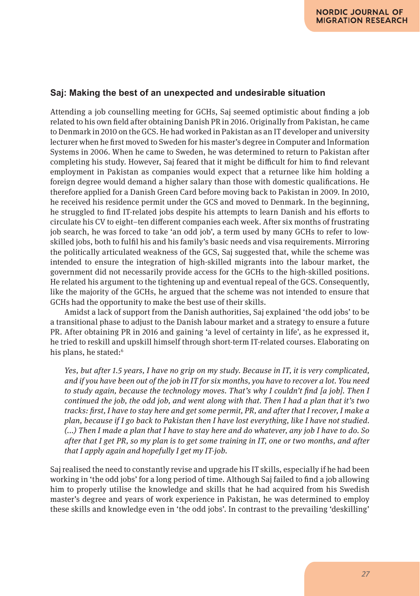### **Saj: Making the best of an unexpected and undesirable situation**

Attending a job counselling meeting for GCHs, Saj seemed optimistic about finding a job related to his own field after obtaining Danish PR in 2016. Originally from Pakistan, he came to Denmark in 2010 on the GCS. He had worked in Pakistan as an IT developer and university lecturer when he first moved to Sweden for his master's degree in Computer and Information Systems in 2006. When he came to Sweden, he was determined to return to Pakistan after completing his study. However, Saj feared that it might be difficult for him to find relevant employment in Pakistan as companies would expect that a returnee like him holding a foreign degree would demand a higher salary than those with domestic qualifications. He therefore applied for a Danish Green Card before moving back to Pakistan in 2009. In 2010, he received his residence permit under the GCS and moved to Denmark. In the beginning, he struggled to find IT-related jobs despite his attempts to learn Danish and his efforts to circulate his CV to eight–ten different companies each week. After six months of frustrating job search, he was forced to take 'an odd job', a term used by many GCHs to refer to lowskilled jobs, both to fulfil his and his family's basic needs and visa requirements. Mirroring the politically articulated weakness of the GCS, Saj suggested that, while the scheme was intended to ensure the integration of high-skilled migrants into the labour market, the government did not necessarily provide access for the GCHs to the high-skilled positions. He related his argument to the tightening up and eventual repeal of the GCS. Consequently, like the majority of the GCHs, he argued that the scheme was not intended to ensure that GCHs had the opportunity to make the best use of their skills.

Amidst a lack of support from the Danish authorities, Saj explained 'the odd jobs' to be a transitional phase to adjust to the Danish labour market and a strategy to ensure a future PR. After obtaining PR in 2016 and gaining 'a level of certainty in life', as he expressed it, he tried to reskill and upskill himself through short-term IT-related courses. Elaborating on his plans, he stated:<sup>6</sup>

*Yes, but after 1.5 years, I have no grip on my study. Because in IT, it is very complicated, and if you have been out of the job in IT for six months, you have to recover a lot. You need to study again, because the technology moves. That's why I couldn't find [a job]. Then I continued the job, the odd job, and went along with that. Then I had a plan that it's two tracks: first, I have to stay here and get some permit, PR, and after that I recover, I make a plan, because if I go back to Pakistan then I have lost everything, like I have not studied. (*...*) Then I made a plan that I have to stay here and do whatever, any job I have to do. So after that I get PR, so my plan is to get some training in IT, one or two months, and after that I apply again and hopefully I get my IT-job.*

Saj realised the need to constantly revise and upgrade his IT skills, especially if he had been working in 'the odd jobs' for a long period of time. Although Saj failed to find a job allowing him to properly utilise the knowledge and skills that he had acquired from his Swedish master's degree and years of work experience in Pakistan, he was determined to employ these skills and knowledge even in 'the odd jobs'. In contrast to the prevailing 'deskilling'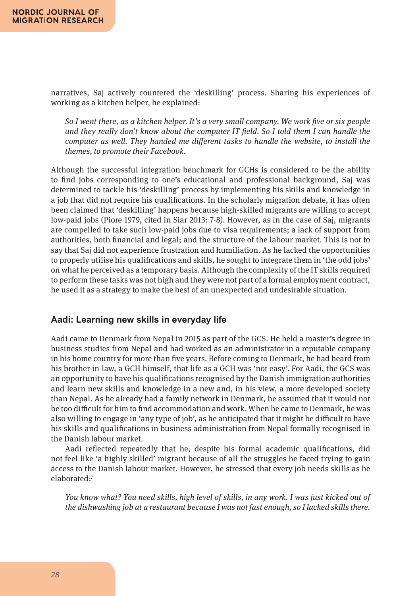narratives, Saj actively countered the 'deskilling' process. Sharing his experiences of working as a kitchen helper, he explained:

*So I went there, as a kitchen helper. It's a very small company. We work five or six people and they really don't know about the computer IT field. So I told them I can handle the computer as well. They handed me different tasks to handle the website, to install the themes, to promote their Facebook.*

Although the successful integration benchmark for GCHs is considered to be the ability to find jobs corresponding to one's educational and professional background, Saj was determined to tackle his 'deskilling' process by implementing his skills and knowledge in a job that did not require his qualifications. In the scholarly migration debate, it has often been claimed that 'deskilling' happens because high-skilled migrants are willing to accept low-paid jobs (Piore 1979, cited in Siar 2013: 7-8). However, as in the case of Saj, migrants are compelled to take such low-paid jobs due to visa requirements; a lack of support from authorities, both financial and legal; and the structure of the labour market. This is not to say that Saj did not experience frustration and humiliation. As he lacked the opportunities to properly utilise his qualifications and skills, he sought to integrate them in 'the odd jobs' on what he perceived as a temporary basis. Although the complexity of the IT skills required to perform these tasks was not high and they were not part of a formal employment contract, he used it as a strategy to make the best of an unexpected and undesirable situation.

#### **Aadi: Learning new skills in everyday life**

Aadi came to Denmark from Nepal in 2015 as part of the GCS. He held a master's degree in business studies from Nepal and had worked as an administrator in a reputable company in his home country for more than five years. Before coming to Denmark, he had heard from his brother-in-law, a GCH himself, that life as a GCH was 'not easy'. For Aadi, the GCS was an opportunity to have his qualifications recognised by the Danish immigration authorities and learn new skills and knowledge in a new and, in his view, a more developed society than Nepal. As he already had a family network in Denmark, he assumed that it would not be too difficult for him to find accommodation and work. When he came to Denmark, he was also willing to engage in 'any type of job', as he anticipated that it might be difficult to have his skills and qualifications in business administration from Nepal formally recognised in the Danish labour market.

Aadi reflected repeatedly that he, despite his formal academic qualifications, did not feel like 'a highly skilled' migrant because of all the struggles he faced trying to gain access to the Danish labour market. However, he stressed that every job needs skills as he elaborated:7

*You know what? You need skills, high level of skills, in any work. I was just kicked out of the dishwashing job at a restaurant because I was not fast enough, so I lacked skills there.*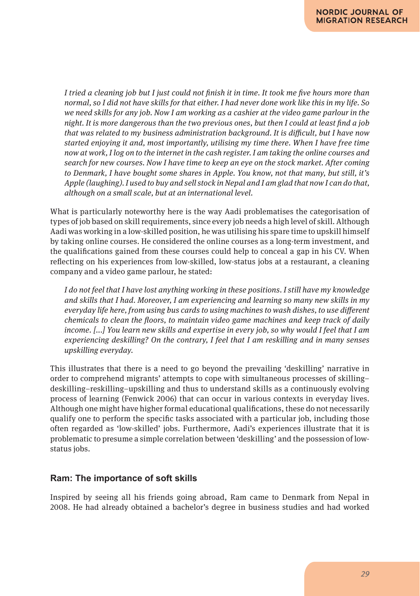*I tried a cleaning job but I just could not finish it in time. It took me five hours more than normal, so I did not have skills for that either. I had never done work like this in my life. So we need skills for any job. Now I am working as a cashier at the video game parlour in the night. It is more dangerous than the two previous ones, but then I could at least find a job that was related to my business administration background. It is difficult, but I have now started enjoying it and, most importantly, utilising my time there. When I have free time now at work, I log on to the internet in the cash register. I am taking the online courses and search for new courses. Now I have time to keep an eye on the stock market. After coming to Denmark, I have bought some shares in Apple. You know, not that many, but still, it's Apple (laughing). I used to buy and sell stock in Nepal and I am glad that now I can do that, although on a small scale, but at an international level.*

What is particularly noteworthy here is the way Aadi problematises the categorisation of types of job based on skill requirements, since every job needs a high level of skill. Although Aadi was working in a low-skilled position, he was utilising his spare time to upskill himself by taking online courses. He considered the online courses as a long-term investment, and the qualifications gained from these courses could help to conceal a gap in his CV. When reflecting on his experiences from low-skilled, low-status jobs at a restaurant, a cleaning company and a video game parlour, he stated:

*I do not feel that I have lost anything working in these positions. I still have my knowledge and skills that I had. Moreover, I am experiencing and learning so many new skills in my everyday life here, from using bus cards to using machines to wash dishes, to use different chemicals to clean the floors, to maintain video game machines and keep track of daily income. [*...*] You learn new skills and expertise in every job, so why would I feel that I am experiencing deskilling? On the contrary, I feel that I am reskilling and in many senses upskilling everyday.*

This illustrates that there is a need to go beyond the prevailing 'deskilling' narrative in order to comprehend migrants' attempts to cope with simultaneous processes of skilling– deskilling–reskilling–upskilling and thus to understand skills as a continuously evolving process of learning (Fenwick 2006) that can occur in various contexts in everyday lives. Although one might have higher formal educational qualifications, these do not necessarily qualify one to perform the specific tasks associated with a particular job, including those often regarded as 'low-skilled' jobs. Furthermore, Aadi's experiences illustrate that it is problematic to presume a simple correlation between 'deskilling' and the possession of lowstatus jobs.

#### **Ram: The importance of soft skills**

Inspired by seeing all his friends going abroad, Ram came to Denmark from Nepal in 2008. He had already obtained a bachelor's degree in business studies and had worked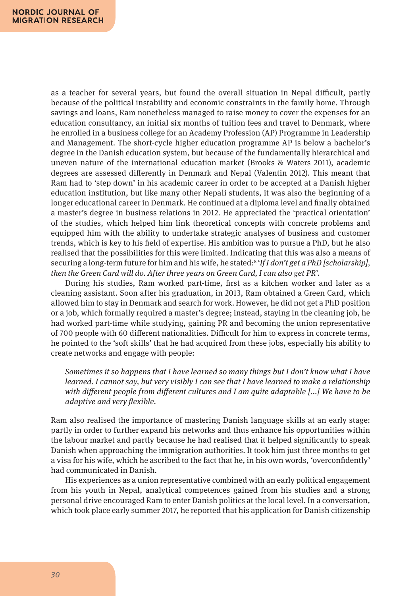as a teacher for several years, but found the overall situation in Nepal difficult, partly because of the political instability and economic constraints in the family home. Through savings and loans, Ram nonetheless managed to raise money to cover the expenses for an education consultancy, an initial six months of tuition fees and travel to Denmark, where he enrolled in a business college for an Academy Profession (AP) Programme in Leadership and Management. The short-cycle higher education programme AP is below a bachelor's degree in the Danish education system, but because of the fundamentally hierarchical and uneven nature of the international education market (Brooks & Waters 2011), academic degrees are assessed differently in Denmark and Nepal (Valentin 2012). This meant that Ram had to 'step down' in his academic career in order to be accepted at a Danish higher education institution, but like many other Nepali students, it was also the beginning of a longer educational career in Denmark. He continued at a diploma level and finally obtained a master's degree in business relations in 2012. He appreciated the 'practical orientation' of the studies, which helped him link theoretical concepts with concrete problems and equipped him with the ability to undertake strategic analyses of business and customer trends, which is key to his field of expertise. His ambition was to pursue a PhD, but he also realised that the possibilities for this were limited. Indicating that this was also a means of securing a long-term future for him and his wife, he stated:8 '*If I don't get a PhD [scholarship], then the Green Card will do. After three years on Green Card, I can also get PR*'.

During his studies, Ram worked part-time, first as a kitchen worker and later as a cleaning assistant. Soon after his graduation, in 2013, Ram obtained a Green Card, which allowed him to stay in Denmark and search for work. However, he did not get a PhD position or a job, which formally required a master's degree; instead, staying in the cleaning job, he had worked part-time while studying, gaining PR and becoming the union representative of 700 people with 60 different nationalities. Difficult for him to express in concrete terms, he pointed to the 'soft skills' that he had acquired from these jobs, especially his ability to create networks and engage with people:

*Sometimes it so happens that I have learned so many things but I don't know what I have learned. I cannot say, but very visibly I can see that I have learned to make a relationship with different people from different cultures and I am quite adaptable [*...*] We have to be adaptive and very flexible.*

Ram also realised the importance of mastering Danish language skills at an early stage: partly in order to further expand his networks and thus enhance his opportunities within the labour market and partly because he had realised that it helped significantly to speak Danish when approaching the immigration authorities. It took him just three months to get a visa for his wife, which he ascribed to the fact that he, in his own words, 'overconfidently' had communicated in Danish.

His experiences as a union representative combined with an early political engagement from his youth in Nepal, analytical competences gained from his studies and a strong personal drive encouraged Ram to enter Danish politics at the local level. In a conversation, which took place early summer 2017, he reported that his application for Danish citizenship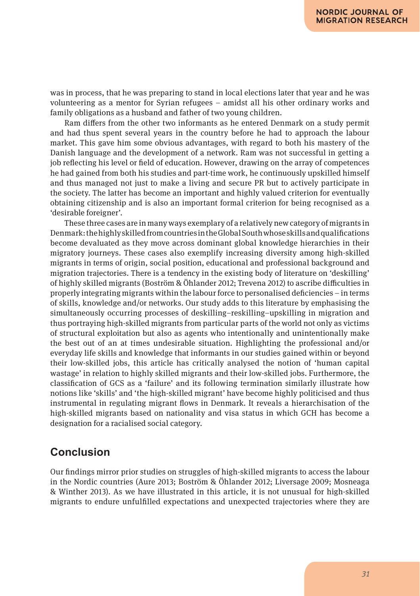was in process, that he was preparing to stand in local elections later that year and he was volunteering as a mentor for Syrian refugees – amidst all his other ordinary works and family obligations as a husband and father of two young children.

Ram differs from the other two informants as he entered Denmark on a study permit and had thus spent several years in the country before he had to approach the labour market. This gave him some obvious advantages, with regard to both his mastery of the Danish language and the development of a network. Ram was not successful in getting a job reflecting his level or field of education. However, drawing on the array of competences he had gained from both his studies and part-time work, he continuously upskilled himself and thus managed not just to make a living and secure PR but to actively participate in the society. The latter has become an important and highly valued criterion for eventually obtaining citizenship and is also an important formal criterion for being recognised as a 'desirable foreigner'.

These three cases are in many ways exemplary of a relatively new category of migrants in Denmark: the highly skilled from countries in the Global South whose skills and qualifications become devaluated as they move across dominant global knowledge hierarchies in their migratory journeys. These cases also exemplify increasing diversity among high-skilled migrants in terms of origin, social position, educational and professional background and migration trajectories. There is a tendency in the existing body of literature on 'deskilling' of highly skilled migrants (Boström & Öhlander 2012; Trevena 2012) to ascribe difficulties in properly integrating migrants within the labour force to personalised deficiencies – in terms of skills, knowledge and/or networks. Our study adds to this literature by emphasising the simultaneously occurring processes of deskilling–reskilling–upskilling in migration and thus portraying high-skilled migrants from particular parts of the world not only as victims of structural exploitation but also as agents who intentionally and unintentionally make the best out of an at times undesirable situation. Highlighting the professional and/or everyday life skills and knowledge that informants in our studies gained within or beyond their low-skilled jobs, this article has critically analysed the notion of 'human capital wastage' in relation to highly skilled migrants and their low-skilled jobs. Furthermore, the classification of GCS as a 'failure' and its following termination similarly illustrate how notions like 'skills' and 'the high-skilled migrant' have become highly politicised and thus instrumental in regulating migrant flows in Denmark. It reveals a hierarchisation of the high-skilled migrants based on nationality and visa status in which GCH has become a designation for a racialised social category.

## **Conclusion**

Our findings mirror prior studies on struggles of high-skilled migrants to access the labour in the Nordic countries (Aure 2013; Boström & Öhlander 2012; Liversage 2009; Mosneaga & Winther 2013). As we have illustrated in this article, it is not unusual for high-skilled migrants to endure unfulfilled expectations and unexpected trajectories where they are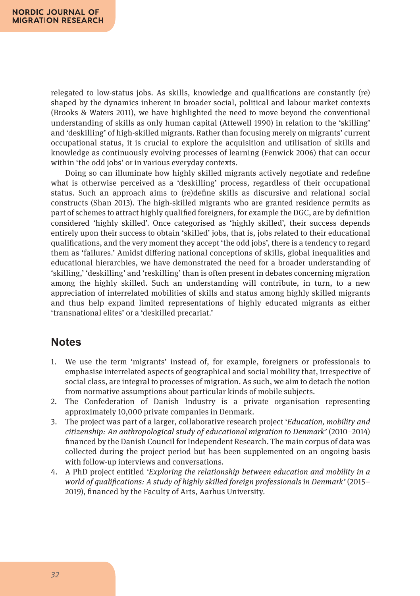relegated to low-status jobs. As skills, knowledge and qualifications are constantly (re) shaped by the dynamics inherent in broader social, political and labour market contexts (Brooks & Waters 2011), we have highlighted the need to move beyond the conventional understanding of skills as only human capital (Attewell 1990) in relation to the 'skilling' and 'deskilling' of high-skilled migrants. Rather than focusing merely on migrants' current occupational status, it is crucial to explore the acquisition and utilisation of skills and knowledge as continuously evolving processes of learning (Fenwick 2006) that can occur within 'the odd jobs' or in various everyday contexts.

Doing so can illuminate how highly skilled migrants actively negotiate and redefine what is otherwise perceived as a 'deskilling' process, regardless of their occupational status. Such an approach aims to (re)define skills as discursive and relational social constructs (Shan 2013). The high-skilled migrants who are granted residence permits as part of schemes to attract highly qualified foreigners, for example the DGC, are by definition considered 'highly skilled'. Once categorised as 'highly skilled', their success depends entirely upon their success to obtain 'skilled' jobs, that is, jobs related to their educational qualifications, and the very moment they accept 'the odd jobs', there is a tendency to regard them as 'failures.' Amidst differing national conceptions of skills, global inequalities and educational hierarchies, we have demonstrated the need for a broader understanding of 'skilling,' 'deskilling' and 'reskilling' than is often present in debates concerning migration among the highly skilled. Such an understanding will contribute, in turn, to a new appreciation of interrelated mobilities of skills and status among highly skilled migrants and thus help expand limited representations of highly educated migrants as either 'transnational elites' or a 'deskilled precariat.'

## **Notes**

- 1. We use the term 'migrants' instead of, for example, foreigners or professionals to emphasise interrelated aspects of geographical and social mobility that, irrespective of social class, are integral to processes of migration. As such, we aim to detach the notion from normative assumptions about particular kinds of mobile subjects.
- 2. The Confederation of Danish Industry is a private organisation representing approximately 10,000 private companies in Denmark.
- 3. The project was part of a larger, collaborative research project '*Education, mobility and citizenship: An anthropological study of educational migration to Denmark'* (2010–2014) financed by the Danish Council for Independent Research. The main corpus of data was collected during the project period but has been supplemented on an ongoing basis with follow-up interviews and conversations.
- 4. A PhD project entitled *'Exploring the relationship between education and mobility in a world of qualifications: A study of highly skilled foreign professionals in Denmark'* (2015– 2019), financed by the Faculty of Arts, Aarhus University.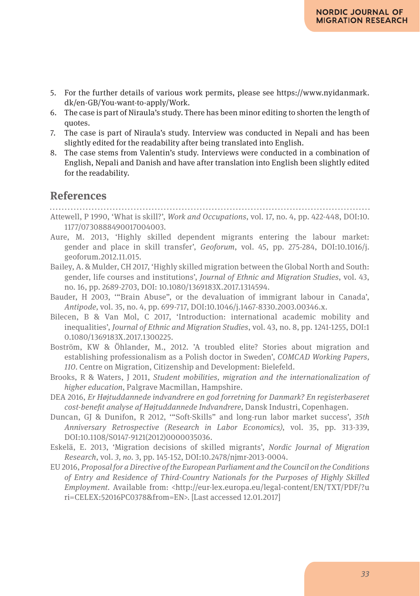- 5. For the further details of various work permits, please see https://www.nyidanmark. dk/en-GB/You-want-to-apply/Work.
- 6. The case is part of Niraula's study. There has been minor editing to shorten the length of quotes.
- 7. The case is part of Niraula's study. Interview was conducted in Nepali and has been slightly edited for the readability after being translated into English.
- 8. The case stems from Valentin's study. Interviews were conducted in a combination of English, Nepali and Danish and have after translation into English been slightly edited for the readability.

### **References**

- Attewell, P 1990, 'What is skill?', *Work and Occupations*, vol. 17, no. 4, pp. 422-448, DOI:10. 1177/0730888490017004003.
- Aure, M. 2013, 'Highly skilled dependent migrants entering the labour market: gender and place in skill transfer', *Geoforum*, vol. 45, pp. 275-284, DOI:10.1016/j. geoforum.2012.11.015.
- Bailey, A. & Mulder, CH 2017, 'Highly skilled migration between the Global North and South: gender, life courses and institutions', *Journal of Ethnic and Migration Studies*, vol. 43, no. 16, pp. 2689-2703, DOI: 10.1080/1369183X.2017.1314594.
- Bauder, H 2003, '"Brain Abuse", or the devaluation of immigrant labour in Canada', *Antipode,* vol. 35, no. 4, pp. 699-717, DOI:10.1046/j.1467-8330.2003.00346.x.
- Bilecen, B & Van Mol, C 2017, 'Introduction: international academic mobility and inequalities', *Journal of Ethnic and Migration Studies*, vol. 43, no. 8, pp. 1241-1255, DOI:1 0.1080/1369183X.2017.1300225.
- Boström, KW & Öhlander, M., 2012. 'A troubled elite? Stories about migration and establishing professionalism as a Polish doctor in Sweden', *COMCAD Working Papers, 110*. Centre on Migration, Citizenship and Development: Bielefeld.
- Brooks, R & Waters, J 2011, *Student mobilities, migration and the internationalization of higher education*, Palgrave Macmillan, Hampshire.
- DEA 2016, *Er Højtuddannede indvandrere en god forretning for Danmark? En registerbaseret cost-benefit analyse af Højtuddannede Indvandrere,* Dansk Industri, Copenhagen.
- Duncan, GJ & Dunifon, R 2012, '"Soft-Skills" and long-run labor market success', *35th Anniversary Retrospective (Research in Labor Economics)*, vol. 35, pp. 313-339, DOI:10.1108/S0147-9121(2012)0000035036.
- Eskelä, E. 2013, 'Migration decisions of skilled migrants', *Nordic Journal of Migration Research*, vol. *3, no.* 3, pp. 145-152, DOI:10.2478/njmr-2013-0004.
- EU 2016, *Proposal for a Directive of the European Parliament and the Council on the Conditions of Entry and Residence of Third-Country Nationals for the Purposes of Highly Skilled Employment.* Available from: <http://eur-lex.europa.eu/legal-content/EN/TXT/PDF/?u ri=CELEX:52016PC0378&from=EN>. [Last accessed 12.01.2017]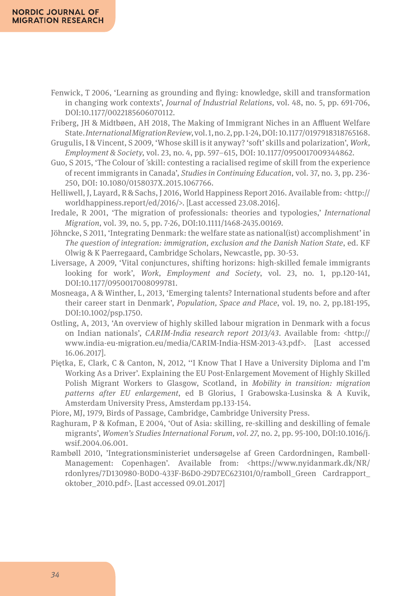- Fenwick, T 2006, 'Learning as grounding and flying: knowledge, skill and transformation in changing work contexts', *Journal of Industrial Relations,* vol. 48, no. 5, pp. 691-706, DOI:10.1177/0022185606070112.
- Friberg, JH & Midtbøen, AH 2018, The Making of Immigrant Niches in an Affluent Welfare State. *International Migration Review*, vol. 1, no. 2, pp. 1-24, DOI: 10.1177/0197918318765168.
- Grugulis, I & Vincent, S 2009, 'Whose skill is it anyway? 'soft' skills and polarization', *Work, Employment & Society*, vol. 23, no. 4, pp. 597–615, DOI: 10.1177/0950017009344862.
- Guo, S 2015, 'The Colour of ´skill: contesting a racialised regime of skill from the experience of recent immigrants in Canada', *Studies in Continuing Education*, vol. 37, no. 3, pp. 236- 250, DOI: 10.1080/0158037X.2015.1067766.
- Helliwell, J, Layard, R & Sachs, J 2016, World Happiness Report 2016. Available from: <http:// worldhappiness.report/ed/2016/>. [Last accessed 23.08.2016].
- Iredale, R 2001, 'The migration of professionals: theories and typologies,' *International Migration*, vol. 39, no. 5, pp. 7-26, DOI:10.1111/1468-2435.00169.
- Jöhncke, S 2011, 'Integrating Denmark: the welfare state as national(ist) accomplishment' in *The question of integration: immigration, exclusion and the Danish Nation State*, ed. KF Olwig & K Paerregaard, Cambridge Scholars, Newcastle, pp. 30-53.
- Liversage, A 2009, 'Vital conjunctures, shifting horizons: high-skilled female immigrants looking for work', *Work, Employment and Society*, vol. 23, no. 1, pp.120-141, DOI:10.1177/0950017008099781.
- Mosneaga, A & Winther, L, 2013, 'Emerging talents? International students before and after their career start in Denmark', *Population, Space and Place*, vol. 19, no. 2, pp.181-195, DOI:10.1002/psp.1750.
- Ostling, A, 2013, 'An overview of highly skilled labour migration in Denmark with a focus on Indian nationals', *CARIM-India research report 2013/43*. Available from: <http:// www.india-eu-migration.eu/media/CARIM-India-HSM-2013-43.pdf>. [Last accessed 16.06.2017].
- Piętka, E, Clark, C & Canton, N, 2012, ''I Know That I Have a University Diploma and I'm Working As a Driver'. Explaining the EU Post-Enlargement Movement of Highly Skilled Polish Migrant Workers to Glasgow, Scotland, in *Mobility in transition: migration patterns after EU enlargement*, ed B Glorius, I Grabowska-Lusinska & A Kuvik, Amsterdam University Press, Amsterdam pp.133-154.

Piore, MJ, 1979, Birds of Passage, Cambridge, Cambridge University Press.

- Raghuram, P & Kofman, E 2004, 'Out of Asia: skilling, re-skilling and deskilling of female migrants', *Women's Studies International Forum, vol. 27*, no. 2, pp. 95-100, DOI:10.1016/j. wsif.2004.06.001.
- Rambøll 2010, 'Integrationsministeriet undersøgelse af Green Cardordningen, Rambøll-Management: Copenhagen'. Available from: <https://www.nyidanmark.dk/NR/ rdonlyres/7D130980-B0D0-433F-B6D0-29D7EC623101/0/ramboll\_Green Cardrapport\_ oktober\_2010.pdf>. [Last accessed 09.01.2017]